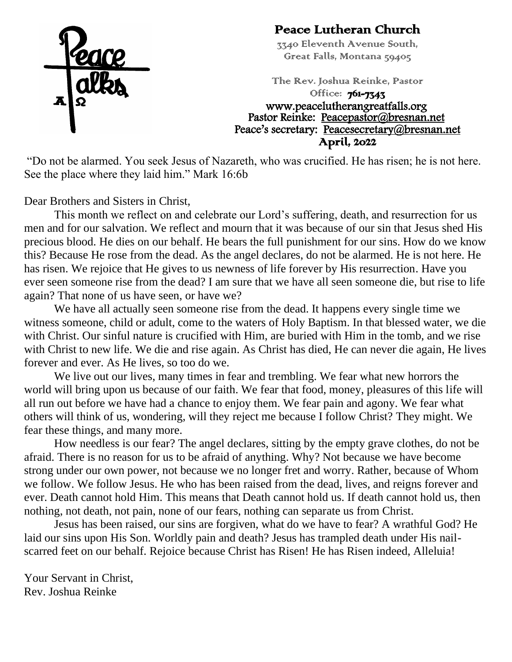

#### Peace Lutheran Church

3340 Eleventh Avenue South, Great Falls, Montana 59405

The Rev. Joshua Reinke, Pastor Office: **761-7343** www.peacelutherangreatfalls.org Pastor Reinke: Peacepastor@bresnan.net Peace's secretary: [Peacesecretary@bresnan.net](mailto:Peacesecretary@bresnan.net)  April, 2022

"Do not be alarmed. You seek Jesus of Nazareth, who was crucified. He has risen; he is not here. See the place where they laid him." Mark 16:6b

Dear Brothers and Sisters in Christ,

This month we reflect on and celebrate our Lord's suffering, death, and resurrection for us men and for our salvation. We reflect and mourn that it was because of our sin that Jesus shed His precious blood. He dies on our behalf. He bears the full punishment for our sins. How do we know this? Because He rose from the dead. As the angel declares, do not be alarmed. He is not here. He has risen. We rejoice that He gives to us newness of life forever by His resurrection. Have you ever seen someone rise from the dead? I am sure that we have all seen someone die, but rise to life again? That none of us have seen, or have we?

We have all actually seen someone rise from the dead. It happens every single time we witness someone, child or adult, come to the waters of Holy Baptism. In that blessed water, we die with Christ. Our sinful nature is crucified with Him, are buried with Him in the tomb, and we rise with Christ to new life. We die and rise again. As Christ has died, He can never die again, He lives forever and ever. As He lives, so too do we.

We live out our lives, many times in fear and trembling. We fear what new horrors the world will bring upon us because of our faith. We fear that food, money, pleasures of this life will all run out before we have had a chance to enjoy them. We fear pain and agony. We fear what others will think of us, wondering, will they reject me because I follow Christ? They might. We fear these things, and many more.

How needless is our fear? The angel declares, sitting by the empty grave clothes, do not be afraid. There is no reason for us to be afraid of anything. Why? Not because we have become strong under our own power, not because we no longer fret and worry. Rather, because of Whom we follow. We follow Jesus. He who has been raised from the dead, lives, and reigns forever and ever. Death cannot hold Him. This means that Death cannot hold us. If death cannot hold us, then nothing, not death, not pain, none of our fears, nothing can separate us from Christ.

Jesus has been raised, our sins are forgiven, what do we have to fear? A wrathful God? He laid our sins upon His Son. Worldly pain and death? Jesus has trampled death under His nailscarred feet on our behalf. Rejoice because Christ has Risen! He has Risen indeed, Alleluia!

Your Servant in Christ, Rev. Joshua Reinke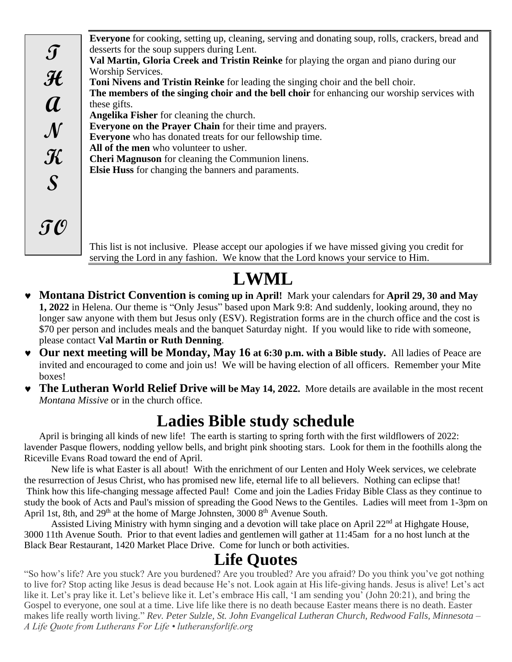**Everyone** for cooking, setting up, cleaning, serving and donating soup, rolls, crackers, bread and desserts for the soup suppers during Lent. **Val Martin, Gloria Creek and Tristin Reinke** for playing the organ and piano during our Worship Services. **Toni Nivens and Tristin Reinke** for leading the singing choir and the bell choir. **The members of the singing choir and the bell choir** for enhancing our worship services with these gifts. **Angelika Fisher** for cleaning the church. **Everyone on the Prayer Chain** for their time and prayers. **Everyone** who has donated treats for our fellowship time. **All of the men** who volunteer to usher. **Cheri Magnuson** for cleaning the Communion linens. **Elsie Huss** for changing the banners and paraments. **T H A N K S TO**

This list is not inclusive. Please accept our apologies if we have missed giving you credit for serving the Lord in any fashion. We know that the Lord knows your service to Him.

## **LWML**

- **Montana District Convention is coming up in April!** Mark your calendars for **April 29, 30 and May 1, 2022** in Helena. Our theme is "Only Jesus" based upon Mark 9:8: And suddenly, looking around, they no longer saw anyone with them but Jesus only (ESV). Registration forms are in the church office and the cost is \$70 per person and includes meals and the banquet Saturday night. If you would like to ride with someone, please contact **Val Martin or Ruth Denning**.
- **Our next meeting will be Monday, May 16 at 6:30 p.m. with a Bible study.** All ladies of Peace are invited and encouraged to come and join us! We will be having election of all officers. Remember your Mite boxes!
- **The Lutheran World Relief Drive will be May 14, 2022.** More details are available in the most recent *Montana Missive* or in the church office.

### **Ladies Bible study schedule**

April is bringing all kinds of new life! The earth is starting to spring forth with the first wildflowers of 2022: lavender Pasque flowers, nodding yellow bells, and bright pink shooting stars. Look for them in the foothills along the Riceville Evans Road toward the end of April.

New life is what Easter is all about! With the enrichment of our Lenten and Holy Week services, we celebrate the resurrection of Jesus Christ, who has promised new life, eternal life to all believers. Nothing can eclipse that! Think how this life-changing message affected Paul! Come and join the Ladies Friday Bible Class as they continue to study the book of Acts and Paul's mission of spreading the Good News to the Gentiles. Ladies will meet from 1-3pm on April 1st, 8th, and  $29<sup>th</sup>$  at the home of Marge Johnsten, 3000  $8<sup>th</sup>$  Avenue South.

Assisted Living Ministry with hymn singing and a devotion will take place on April 22<sup>nd</sup> at Highgate House, 3000 11th Avenue South. Prior to that event ladies and gentlemen will gather at 11:45am for a no host lunch at the Black Bear Restaurant, 1420 Market Place Drive. Come for lunch or both activities.

#### **Life Quotes**

"So how's life? Are you stuck? Are you burdened? Are you troubled? Are you afraid? Do you think you've got nothing to live for? Stop acting like Jesus is dead because He's not. Look again at His life-giving hands. Jesus is alive! Let's act like it. Let's pray like it. Let's believe like it. Let's embrace His call, 'I am sending you' (John 20:21), and bring the Gospel to everyone, one soul at a time. Live life like there is no death because Easter means there is no death. Easter makes life really worth living." *Rev. Peter Sulzle, St. John Evangelical Lutheran Church, Redwood Falls, Minnesota – A Life Quote from Lutherans For Life • lutheransforlife.org*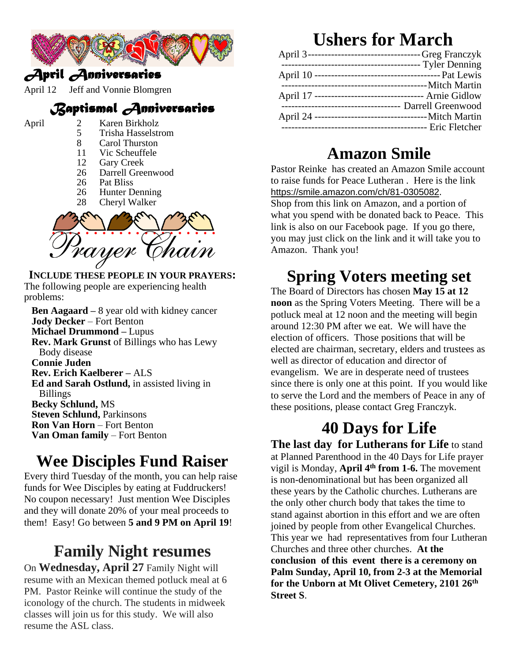

#### *April Anniversaries*

April 12 Jeff and Vonnie Blomgren

#### *Baptismal Anniversaries*

- 
- April 2 Karen Birkholz<br>5 Trisha Hasselstr
	- 5 Trisha Hasselstrom<br>8 Carol Thurston
	- 8 Carol Thurston<br>11 Vic Scheuffele
	- Vic Scheuffele
	- 12 Gary Creek
	- 26 Darrell Greenwood
	- 26 Pat Bliss<br>26 Hunter D
	- 26 Hunter Denning<br>28 Cheryl Walker
	- Cheryl Walker



**INCLUDE THESE PEOPLE IN YOUR PRAYERS:** The following people are experiencing health problems:

**Ben Aagaard –** 8 year old with kidney cancer **Jody Decker** – Fort Benton **Michael Drummond –** Lupus **Rev. Mark Grunst** of Billings who has Lewy Body disease **Connie Juden Rev. Erich Kaelberer –** ALS **Ed and Sarah Ostlund,** in assisted living in Billings **Becky Schlund,** MS **Steven Schlund,** Parkinsons **Ron Van Horn** – Fort Benton **Van Oman family** – Fort Benton

### **Wee Disciples Fund Raiser**

Every third Tuesday of the month, you can help raise funds for Wee Disciples by eating at Fuddruckers! No coupon necessary! Just mention Wee Disciples and they will donate 20% of your meal proceeds to them! Easy! Go between **5 and 9 PM on April 19**!

# **Family Night resumes**

On **Wednesday, April 27** Family Night will resume with an Mexican themed potluck meal at 6 PM. Pastor Reinke will continue the study of the iconology of the church. The students in midweek classes will join us for this study. We will also resume the ASL class.

## **Ushers for March**

|  | April 3-----------------------------------Greg Franczyk  |
|--|----------------------------------------------------------|
|  | -------------------------------- Tyler Denning           |
|  |                                                          |
|  | --------------------------------- Mitch Martin           |
|  | April 17 ---------------------------------- Arnie Gidlow |
|  |                                                          |
|  |                                                          |
|  |                                                          |
|  |                                                          |

### **Amazon Smile**

Pastor Reinke has created an Amazon Smile account to raise funds for Peace Lutheran . Here is the link [https://smile.amazon.com/ch/81-0305082](https://www.amazon.com/gp/f.html?C=CWZK0AZZZD4W&K=38682Y5G3WJSR&M=urn:rtn:msg:20201217181543cf9367f51a0b4505a6406cef7080p0na&R=17G707FVBQ34I&T=C&U=https%3A%2F%2Fsmile.amazon.com%2Fch%2F81-0305082%3Fref_%3Dpe_1723670_203812010&H=XTAMXORK3EJTMKAA1PP8JESEWTKA&ref_=pe_1723670_203812010). Shop from this link on Amazon, and a portion of what you spend with be donated back to Peace. This link is also on our Facebook page. If you go there, you may just click on the link and it will take you to Amazon. Thank you!

## **Spring Voters meeting set**

The Board of Directors has chosen **May 15 at 12 noon** as the Spring Voters Meeting. There will be a potluck meal at 12 noon and the meeting will begin around 12:30 PM after we eat. We will have the election of officers. Those positions that will be elected are chairman, secretary, elders and trustees as well as director of education and director of evangelism. We are in desperate need of trustees since there is only one at this point. If you would like to serve the Lord and the members of Peace in any of these positions, please contact Greg Franczyk.

## **40 Days for Life**

**The last day for Lutherans for Life** to stand at Planned Parenthood in the 40 Days for Life prayer vigil is Monday, **April 4th from 1-6.** The movement is non-denominational but has been organized all these years by the Catholic churches. Lutherans are the only other church body that takes the time to stand against abortion in this effort and we are often joined by people from other Evangelical Churches. This year we had representatives from four Lutheran Churches and three other churches. **At the conclusion of this event there is a ceremony on Palm Sunday, April 10, from 2-3 at the Memorial for the Unborn at Mt Olivet Cemetery, 2101 26th Street S**.